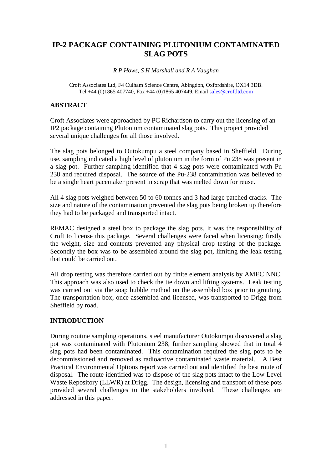# **IP-2 PACKAGE CONTAINING PLUTONIUM CONTAMINATED SLAG POTS**

*R P Hows, S H Marshall and R A Vaughan*

Croft Associates Ltd, F4 Culham Science Centre, Abingdon, Oxfordshire, OX14 3DB. Tel +44 (0)1865 407740, Fax +44 (0)1865 407449, Email [sales@croftltd.com](mailto:sales@croftltd.com)

### **ABSTRACT**

Croft Associates were approached by PC Richardson to carry out the licensing of an IP2 package containing Plutonium contaminated slag pots. This project provided several unique challenges for all those involved.

The slag pots belonged to Outokumpu a steel company based in Sheffield. During use, sampling indicated a high level of plutonium in the form of Pu 238 was present in a slag pot. Further sampling identified that 4 slag pots were contaminated with Pu 238 and required disposal. The source of the Pu-238 contamination was believed to be a single heart pacemaker present in scrap that was melted down for reuse.

All 4 slag pots weighed between 50 to 60 tonnes and 3 had large patched cracks. The size and nature of the contamination prevented the slag pots being broken up therefore they had to be packaged and transported intact.

REMAC designed a steel box to package the slag pots. It was the responsibility of Croft to license this package. Several challenges were faced when licensing: firstly the weight, size and contents prevented any physical drop testing of the package. Secondly the box was to be assembled around the slag pot, limiting the leak testing that could be carried out.

All drop testing was therefore carried out by finite element analysis by AMEC NNC. This approach was also used to check the tie down and lifting systems. Leak testing was carried out via the soap bubble method on the assembled box prior to grouting. The transportation box, once assembled and licensed, was transported to Drigg from Sheffield by road.

## **INTRODUCTION**

During routine sampling operations, steel manufacturer Outokumpu discovered a slag pot was contaminated with Plutonium 238; further sampling showed that in total 4 slag pots had been contaminated. This contamination required the slag pots to be decommissioned and removed as radioactive contaminated waste material. A Best Practical Environmental Options report was carried out and identified the best route of disposal. The route identified was to dispose of the slag pots intact to the Low Level Waste Repository (LLWR) at Drigg. The design, licensing and transport of these pots provided several challenges to the stakeholders involved. These challenges are addressed in this paper.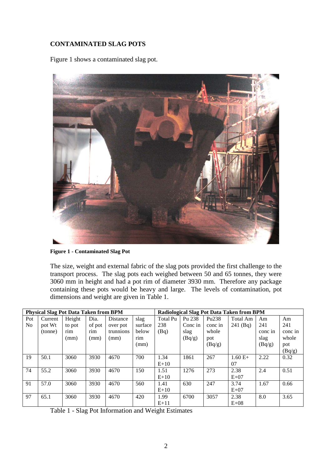# **CONTAMINATED SLAG POTS**

[Figure 1](#page-1-0) shows a contaminated slag pot.



**Figure 1 - Contaminated Slag Pot**

<span id="page-1-0"></span>The size, weight and external fabric of the slag pots provided the first challenge to the transport process. The slag pots each weighed between 50 and 65 tonnes, they were 3060 mm in height and had a pot rim of diameter 3930 mm. Therefore any package containing these pots would be heavy and large. The levels of contamination, pot dimensions and weight are given in [Table 1.](#page-1-1)

| <b>Physical Slag Pot Data Taken from BPM</b> |         |        |        |           |         | Radiological Slag Pot Data Taken from BPM |         |                   |            |         |         |
|----------------------------------------------|---------|--------|--------|-----------|---------|-------------------------------------------|---------|-------------------|------------|---------|---------|
| Pot                                          | Current | Height | Dia.   | Distance  | slag    | <b>Total Pu</b>                           | Pu 238  | Pu <sub>238</sub> | Total Am   | Am      | Am      |
| N <sub>0</sub>                               | pot Wt  | to pot | of pot | over pot  | surface | 238                                       | Conc in | conc in           | $241$ (Bq) | 241     | 241     |
|                                              | (tonne) | rim    | rim    | trunnions | below   | (Bq)                                      | slag    | whole             |            | conc in | conc in |
|                                              |         | (mm)   | (mm)   | (mm)      | rim     |                                           | (Bq/g)  | pot               |            | slag    | whole   |
|                                              |         |        |        |           | (mm)    |                                           |         | (Bq/g)            |            | (Bq/g)  | pot     |
|                                              |         |        |        |           |         |                                           |         |                   |            |         | (Bq/g)  |
| 19                                           | 50.1    | 3060   | 3930   | 4670      | 700     | 1.34                                      | 1861    | 267               | $1.60 E+$  | 2.22    | 0.32    |
|                                              |         |        |        |           |         | $E+10$                                    |         |                   | 07         |         |         |
| 74                                           | 55.2    | 3060   | 3930   | 4670      | 150     | 1.51                                      | 1276    | 273               | 2.38       | 2.4     | 0.51    |
|                                              |         |        |        |           |         | $E+10$                                    |         |                   | $E+07$     |         |         |
| 91                                           | 57.0    | 3060   | 3930   | 4670      | 560     | 1.41                                      | 630     | 247               | 3.74       | 1.67    | 0.66    |
|                                              |         |        |        |           |         | $E+10$                                    |         |                   | $E+07$     |         |         |
| 97                                           | 65.1    | 3060   | 3930   | 4670      | 420     | 1.99                                      | 6700    | 3057              | 2.38       | 8.0     | 3.65    |
|                                              |         |        |        |           |         | $E+11$                                    |         |                   | $E+08$     |         |         |

<span id="page-1-1"></span>Table 1 - Slag Pot Information and Weight Estimates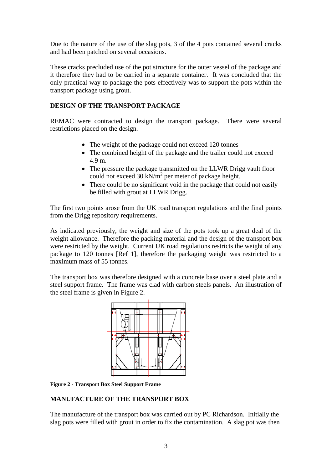Due to the nature of the use of the slag pots, 3 of the 4 pots contained several cracks and had been patched on several occasions.

These cracks precluded use of the pot structure for the outer vessel of the package and it therefore they had to be carried in a separate container. It was concluded that the only practical way to package the pots effectively was to support the pots within the transport package using grout.

# **DESIGN OF THE TRANSPORT PACKAGE**

REMAC were contracted to design the transport package. There were several restrictions placed on the design.

- The weight of the package could not exceed 120 tonnes
- The combined height of the package and the trailer could not exceed 4.9 m.
- The pressure the package transmitted on the LLWR Drigg vault floor could not exceed 30 kN/ $m^2$  per meter of package height.
- There could be no significant void in the package that could not easily be filled with grout at LLWR Drigg.

The first two points arose from the UK road transport regulations and the final points from the Drigg repository requirements.

As indicated previously, the weight and size of the pots took up a great deal of the weight allowance. Therefore the packing material and the design of the transport box were restricted by the weight. Current UK road regulations restricts the weight of any package to 120 tonnes [Ref 1], therefore the packaging weight was restricted to a maximum mass of 55 tonnes.

The transport box was therefore designed with a concrete base over a steel plate and a steel support frame. The frame was clad with carbon steels panels. An illustration of the steel frame is given in [Figure 2.](#page-2-0)



<span id="page-2-0"></span>**Figure 2 - Transport Box Steel Support Frame**

## **MANUFACTURE OF THE TRANSPORT BOX**

The manufacture of the transport box was carried out by PC Richardson. Initially the slag pots were filled with grout in order to fix the contamination. A slag pot was then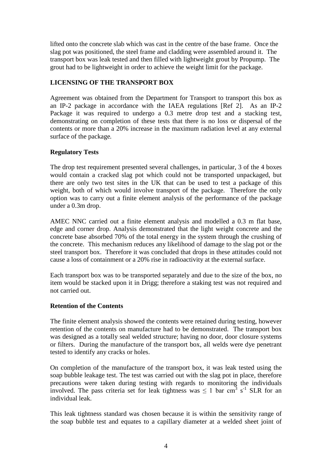lifted onto the concrete slab which was cast in the centre of the base frame. Once the slag pot was positioned, the steel frame and cladding were assembled around it. The transport box was leak tested and then filled with lightweight grout by Propump. The grout had to be lightweight in order to achieve the weight limit for the package.

# **LICENSING OF THE TRANSPORT BOX**

Agreement was obtained from the Department for Transport to transport this box as an IP-2 package in accordance with the IAEA regulations [Ref 2]. As an IP-2 Package it was required to undergo a 0.3 metre drop test and a stacking test, demonstrating on completion of these tests that there is no loss or dispersal of the contents or more than a 20% increase in the maximum radiation level at any external surface of the package*.*

## **Regulatory Tests**

The drop test requirement presented several challenges, in particular, 3 of the 4 boxes would contain a cracked slag pot which could not be transported unpackaged, but there are only two test sites in the UK that can be used to test a package of this weight, both of which would involve transport of the package. Therefore the only option was to carry out a finite element analysis of the performance of the package under a 0.3m drop.

AMEC NNC carried out a finite element analysis and modelled a 0.3 m flat base, edge and corner drop. Analysis demonstrated that the light weight concrete and the concrete base absorbed 70% of the total energy in the system through the crushing of the concrete. This mechanism reduces any likelihood of damage to the slag pot or the steel transport box. Therefore it was concluded that drops in these attitudes could not cause a loss of containment or a 20% rise in radioactivity at the external surface.

Each transport box was to be transported separately and due to the size of the box, no item would be stacked upon it in Drigg; therefore a staking test was not required and not carried out.

#### **Retention of the Contents**

The finite element analysis showed the contents were retained during testing, however retention of the contents on manufacture had to be demonstrated. The transport box was designed as a totally seal welded structure; having no door, door closure systems or filters. During the manufacture of the transport box, all welds were dye penetrant tested to identify any cracks or holes.

On completion of the manufacture of the transport box, it was leak tested using the soap bubble leakage test. The test was carried out with the slag pot in place, therefore precautions were taken during testing with regards to monitoring the individuals involved. The pass criteria set for leak tightness was  $\leq 1$  bar cm<sup>3</sup> s<sup>-1</sup> SLR for an individual leak.

This leak tightness standard was chosen because it is within the sensitivity range of the soap bubble test and equates to a capillary diameter at a welded sheet joint of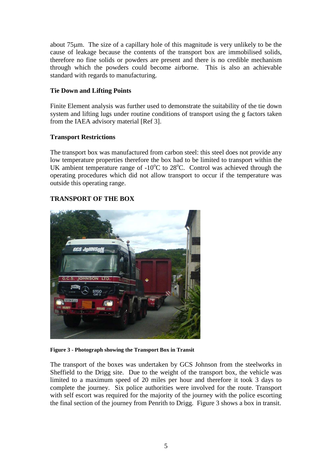about 75µm. The size of a capillary hole of this magnitude is very unlikely to be the cause of leakage because the contents of the transport box are immobilised solids, therefore no fine solids or powders are present and there is no credible mechanism through which the powders could become airborne. This is also an achievable standard with regards to manufacturing.

## **Tie Down and Lifting Points**

Finite Element analysis was further used to demonstrate the suitability of the tie down system and lifting lugs under routine conditions of transport using the g factors taken from the IAEA advisory material [Ref 3].

### **Transport Restrictions**

The transport box was manufactured from carbon steel: this steel does not provide any low temperature properties therefore the box had to be limited to transport within the UK ambient temperature range of -10 $^{\circ}$ C to 28 $^{\circ}$ C. Control was achieved through the operating procedures which did not allow transport to occur if the temperature was outside this operating range.

## **TRANSPORT OF THE BOX**



**Figure 3 - Photograph showing the Transport Box in Transit**

<span id="page-4-0"></span>The transport of the boxes was undertaken by GCS Johnson from the steelworks in Sheffield to the Drigg site. Due to the weight of the transport box, the vehicle was limited to a maximum speed of 20 miles per hour and therefore it took 3 days to complete the journey. Six police authorities were involved for the route. Transport with self escort was required for the majority of the journey with the police escorting the final section of the journey from Penrith to Drigg. [Figure 3](#page-4-0) shows a box in transit.